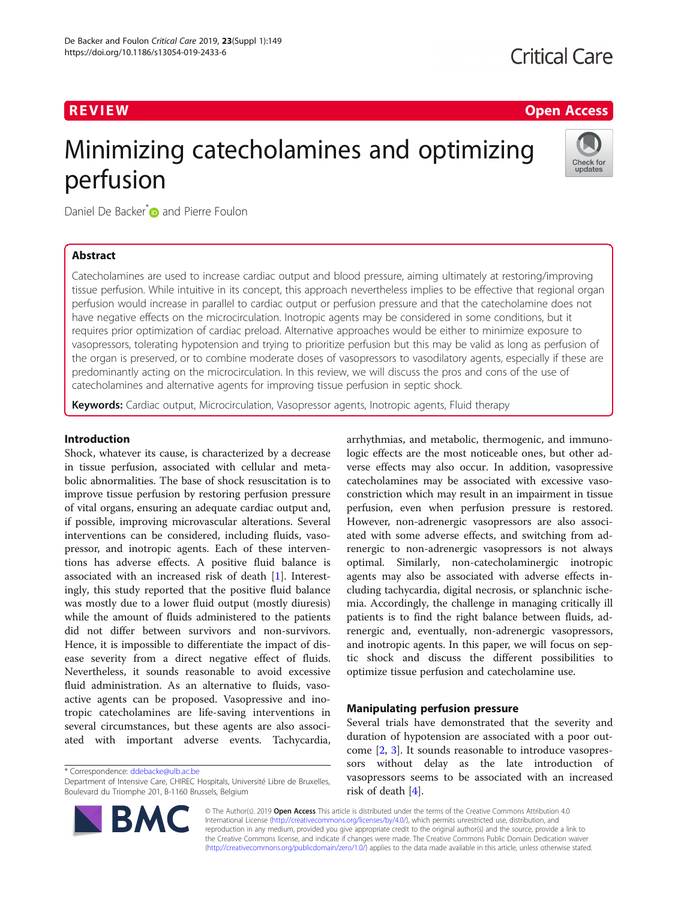# R EVI EW Open Access

# Minimizing catecholamines and optimizing perfusion



Daniel De Backer<sup>\*</sup><sup>D</sup> and Pierre Foulon

# Abstract

Catecholamines are used to increase cardiac output and blood pressure, aiming ultimately at restoring/improving tissue perfusion. While intuitive in its concept, this approach nevertheless implies to be effective that regional organ perfusion would increase in parallel to cardiac output or perfusion pressure and that the catecholamine does not have negative effects on the microcirculation. Inotropic agents may be considered in some conditions, but it requires prior optimization of cardiac preload. Alternative approaches would be either to minimize exposure to vasopressors, tolerating hypotension and trying to prioritize perfusion but this may be valid as long as perfusion of the organ is preserved, or to combine moderate doses of vasopressors to vasodilatory agents, especially if these are predominantly acting on the microcirculation. In this review, we will discuss the pros and cons of the use of catecholamines and alternative agents for improving tissue perfusion in septic shock.

Keywords: Cardiac output, Microcirculation, Vasopressor agents, Inotropic agents, Fluid therapy

# Introduction

Shock, whatever its cause, is characterized by a decrease in tissue perfusion, associated with cellular and metabolic abnormalities. The base of shock resuscitation is to improve tissue perfusion by restoring perfusion pressure of vital organs, ensuring an adequate cardiac output and, if possible, improving microvascular alterations. Several interventions can be considered, including fluids, vasopressor, and inotropic agents. Each of these interventions has adverse effects. A positive fluid balance is associated with an increased risk of death [[1](#page-5-0)]. Interestingly, this study reported that the positive fluid balance was mostly due to a lower fluid output (mostly diuresis) while the amount of fluids administered to the patients did not differ between survivors and non-survivors. Hence, it is impossible to differentiate the impact of disease severity from a direct negative effect of fluids. Nevertheless, it sounds reasonable to avoid excessive fluid administration. As an alternative to fluids, vasoactive agents can be proposed. Vasopressive and inotropic catecholamines are life-saving interventions in several circumstances, but these agents are also associated with important adverse events. Tachycardia,

\* Correspondence: [ddebacke@ulb.ac.be](mailto:ddebacke@ulb.ac.be)

arrhythmias, and metabolic, thermogenic, and immunologic effects are the most noticeable ones, but other adverse effects may also occur. In addition, vasopressive catecholamines may be associated with excessive vasoconstriction which may result in an impairment in tissue perfusion, even when perfusion pressure is restored. However, non-adrenergic vasopressors are also associated with some adverse effects, and switching from adrenergic to non-adrenergic vasopressors is not always optimal. Similarly, non-catecholaminergic inotropic agents may also be associated with adverse effects including tachycardia, digital necrosis, or splanchnic ischemia. Accordingly, the challenge in managing critically ill patients is to find the right balance between fluids, adrenergic and, eventually, non-adrenergic vasopressors, and inotropic agents. In this paper, we will focus on septic shock and discuss the different possibilities to optimize tissue perfusion and catecholamine use.

## Manipulating perfusion pressure

Several trials have demonstrated that the severity and duration of hypotension are associated with a poor outcome [\[2](#page-5-0), [3\]](#page-5-0). It sounds reasonable to introduce vasopressors without delay as the late introduction of vasopressors seems to be associated with an increased risk of death  $[4]$  $[4]$ .



© The Author(s). 2019 **Open Access** This article is distributed under the terms of the Creative Commons Attribution 4.0 International License [\(http://creativecommons.org/licenses/by/4.0/](http://creativecommons.org/licenses/by/4.0/)), which permits unrestricted use, distribution, and reproduction in any medium, provided you give appropriate credit to the original author(s) and the source, provide a link to the Creative Commons license, and indicate if changes were made. The Creative Commons Public Domain Dedication waiver [\(http://creativecommons.org/publicdomain/zero/1.0/](http://creativecommons.org/publicdomain/zero/1.0/)) applies to the data made available in this article, unless otherwise stated.

Department of Intensive Care, CHIREC Hospitals, Université Libre de Bruxelles, Boulevard du Triomphe 201, B-1160 Brussels, Belgium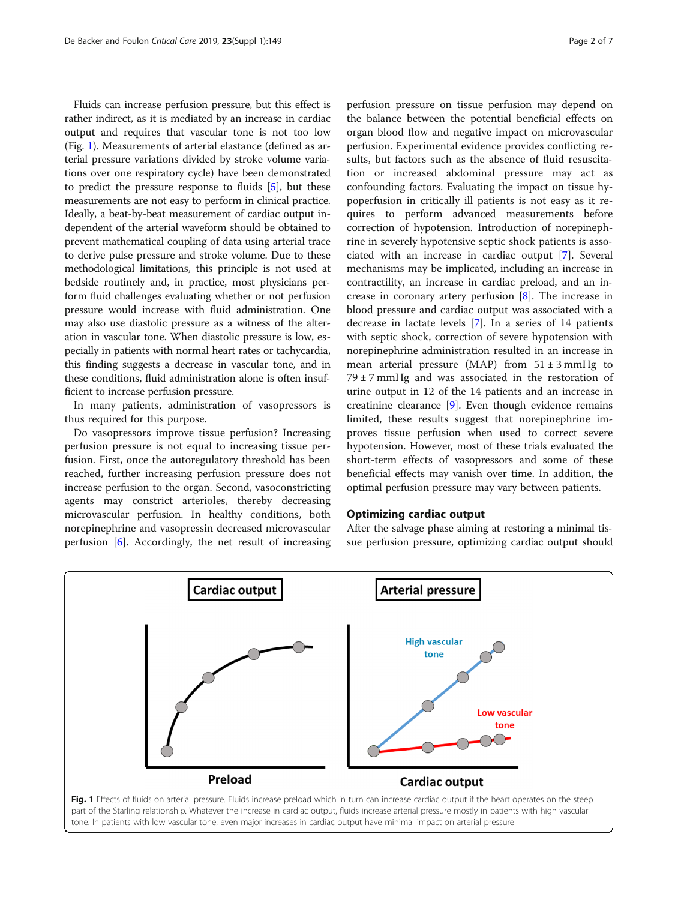Fluids can increase perfusion pressure, but this effect is rather indirect, as it is mediated by an increase in cardiac output and requires that vascular tone is not too low (Fig. 1). Measurements of arterial elastance (defined as arterial pressure variations divided by stroke volume variations over one respiratory cycle) have been demonstrated to predict the pressure response to fluids [[5\]](#page-5-0), but these measurements are not easy to perform in clinical practice. Ideally, a beat-by-beat measurement of cardiac output independent of the arterial waveform should be obtained to prevent mathematical coupling of data using arterial trace to derive pulse pressure and stroke volume. Due to these methodological limitations, this principle is not used at bedside routinely and, in practice, most physicians perform fluid challenges evaluating whether or not perfusion pressure would increase with fluid administration. One may also use diastolic pressure as a witness of the alteration in vascular tone. When diastolic pressure is low, especially in patients with normal heart rates or tachycardia, this finding suggests a decrease in vascular tone, and in these conditions, fluid administration alone is often insufficient to increase perfusion pressure.

In many patients, administration of vasopressors is thus required for this purpose.

Do vasopressors improve tissue perfusion? Increasing perfusion pressure is not equal to increasing tissue perfusion. First, once the autoregulatory threshold has been reached, further increasing perfusion pressure does not increase perfusion to the organ. Second, vasoconstricting agents may constrict arterioles, thereby decreasing microvascular perfusion. In healthy conditions, both norepinephrine and vasopressin decreased microvascular perfusion [[6\]](#page-5-0). Accordingly, the net result of increasing

perfusion pressure on tissue perfusion may depend on the balance between the potential beneficial effects on organ blood flow and negative impact on microvascular perfusion. Experimental evidence provides conflicting results, but factors such as the absence of fluid resuscitation or increased abdominal pressure may act as confounding factors. Evaluating the impact on tissue hypoperfusion in critically ill patients is not easy as it requires to perform advanced measurements before correction of hypotension. Introduction of norepinephrine in severely hypotensive septic shock patients is associated with an increase in cardiac output [\[7\]](#page-5-0). Several mechanisms may be implicated, including an increase in contractility, an increase in cardiac preload, and an increase in coronary artery perfusion  $[8]$  $[8]$ . The increase in blood pressure and cardiac output was associated with a decrease in lactate levels [[7\]](#page-5-0). In a series of 14 patients with septic shock, correction of severe hypotension with norepinephrine administration resulted in an increase in mean arterial pressure (MAP) from  $51 \pm 3$  mmHg to  $79 \pm 7$  mmHg and was associated in the restoration of urine output in 12 of the 14 patients and an increase in creatinine clearance [[9\]](#page-5-0). Even though evidence remains limited, these results suggest that norepinephrine improves tissue perfusion when used to correct severe hypotension. However, most of these trials evaluated the short-term effects of vasopressors and some of these beneficial effects may vanish over time. In addition, the optimal perfusion pressure may vary between patients.

# Optimizing cardiac output

After the salvage phase aiming at restoring a minimal tissue perfusion pressure, optimizing cardiac output should

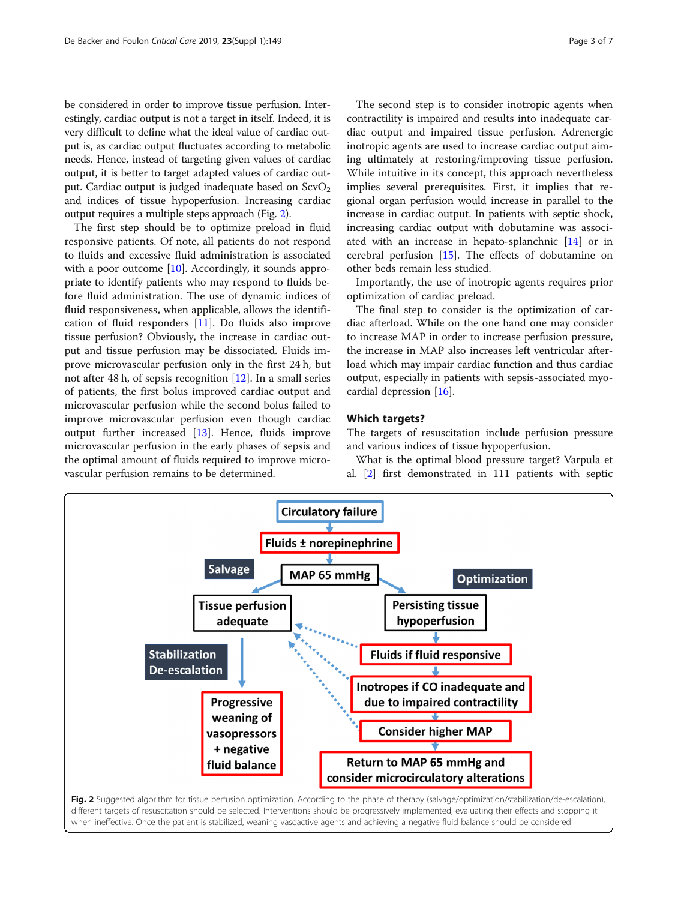<span id="page-2-0"></span>be considered in order to improve tissue perfusion. Interestingly, cardiac output is not a target in itself. Indeed, it is very difficult to define what the ideal value of cardiac output is, as cardiac output fluctuates according to metabolic needs. Hence, instead of targeting given values of cardiac output, it is better to target adapted values of cardiac output. Cardiac output is judged inadequate based on  $ScvO<sub>2</sub>$ and indices of tissue hypoperfusion. Increasing cardiac output requires a multiple steps approach (Fig. 2).

The first step should be to optimize preload in fluid responsive patients. Of note, all patients do not respond to fluids and excessive fluid administration is associated with a poor outcome  $[10]$  $[10]$  $[10]$ . Accordingly, it sounds appropriate to identify patients who may respond to fluids before fluid administration. The use of dynamic indices of fluid responsiveness, when applicable, allows the identification of fluid responders [[11\]](#page-5-0). Do fluids also improve tissue perfusion? Obviously, the increase in cardiac output and tissue perfusion may be dissociated. Fluids improve microvascular perfusion only in the first 24 h, but not after 48 h, of sepsis recognition [[12](#page-5-0)]. In a small series of patients, the first bolus improved cardiac output and microvascular perfusion while the second bolus failed to improve microvascular perfusion even though cardiac output further increased [[13](#page-5-0)]. Hence, fluids improve microvascular perfusion in the early phases of sepsis and the optimal amount of fluids required to improve microvascular perfusion remains to be determined.

The second step is to consider inotropic agents when contractility is impaired and results into inadequate cardiac output and impaired tissue perfusion. Adrenergic inotropic agents are used to increase cardiac output aiming ultimately at restoring/improving tissue perfusion. While intuitive in its concept, this approach nevertheless implies several prerequisites. First, it implies that regional organ perfusion would increase in parallel to the increase in cardiac output. In patients with septic shock, increasing cardiac output with dobutamine was associated with an increase in hepato-splanchnic [[14\]](#page-5-0) or in cerebral perfusion [[15\]](#page-6-0). The effects of dobutamine on other beds remain less studied.

Importantly, the use of inotropic agents requires prior optimization of cardiac preload.

The final step to consider is the optimization of cardiac afterload. While on the one hand one may consider to increase MAP in order to increase perfusion pressure, the increase in MAP also increases left ventricular afterload which may impair cardiac function and thus cardiac output, especially in patients with sepsis-associated myocardial depression [[16](#page-6-0)].

#### Which targets?

The targets of resuscitation include perfusion pressure and various indices of tissue hypoperfusion.

What is the optimal blood pressure target? Varpula et al. [[2\]](#page-5-0) first demonstrated in 111 patients with septic

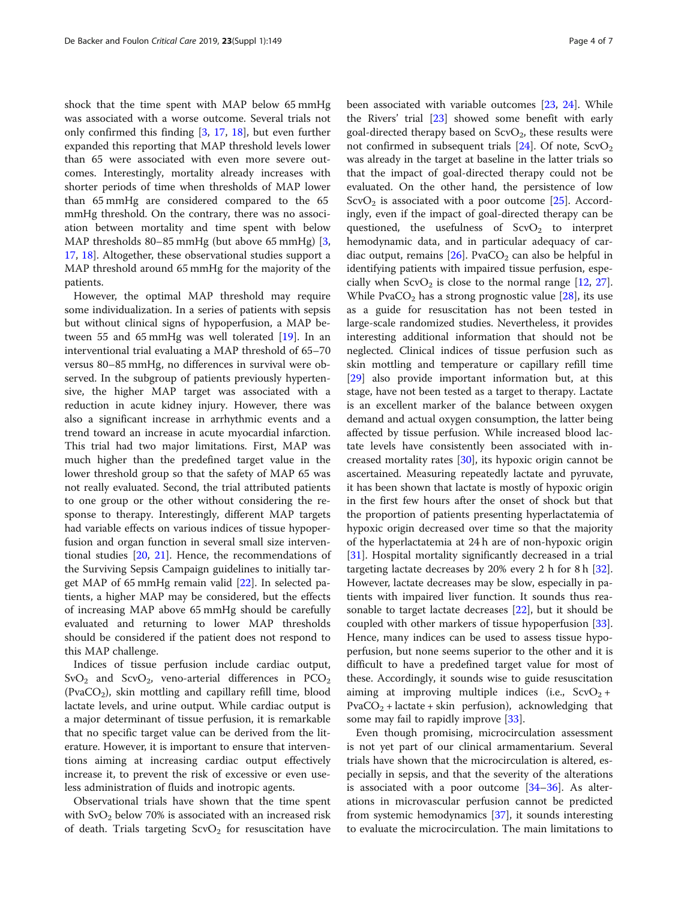shock that the time spent with MAP below 65 mmHg was associated with a worse outcome. Several trials not only confirmed this finding [\[3](#page-5-0), [17,](#page-6-0) [18](#page-6-0)], but even further expanded this reporting that MAP threshold levels lower than 65 were associated with even more severe outcomes. Interestingly, mortality already increases with shorter periods of time when thresholds of MAP lower than 65 mmHg are considered compared to the 65 mmHg threshold. On the contrary, there was no association between mortality and time spent with below MAP thresholds 80–85 mmHg (but above 65 mmHg) [\[3](#page-5-0), [17,](#page-6-0) [18\]](#page-6-0). Altogether, these observational studies support a MAP threshold around 65 mmHg for the majority of the patients.

However, the optimal MAP threshold may require some individualization. In a series of patients with sepsis but without clinical signs of hypoperfusion, a MAP between 55 and 65 mmHg was well tolerated [\[19\]](#page-6-0). In an interventional trial evaluating a MAP threshold of 65–70 versus 80–85 mmHg, no differences in survival were observed. In the subgroup of patients previously hypertensive, the higher MAP target was associated with a reduction in acute kidney injury. However, there was also a significant increase in arrhythmic events and a trend toward an increase in acute myocardial infarction. This trial had two major limitations. First, MAP was much higher than the predefined target value in the lower threshold group so that the safety of MAP 65 was not really evaluated. Second, the trial attributed patients to one group or the other without considering the response to therapy. Interestingly, different MAP targets had variable effects on various indices of tissue hypoperfusion and organ function in several small size interventional studies [[20,](#page-6-0) [21\]](#page-6-0). Hence, the recommendations of the Surviving Sepsis Campaign guidelines to initially target MAP of 65 mmHg remain valid [[22\]](#page-6-0). In selected patients, a higher MAP may be considered, but the effects of increasing MAP above 65 mmHg should be carefully evaluated and returning to lower MAP thresholds should be considered if the patient does not respond to this MAP challenge.

Indices of tissue perfusion include cardiac output,  $SvO<sub>2</sub>$  and  $ScvO<sub>2</sub>$ , veno-arterial differences in  $PCO<sub>2</sub>$  $(PvaCO<sub>2</sub>)$ , skin mottling and capillary refill time, blood lactate levels, and urine output. While cardiac output is a major determinant of tissue perfusion, it is remarkable that no specific target value can be derived from the literature. However, it is important to ensure that interventions aiming at increasing cardiac output effectively increase it, to prevent the risk of excessive or even useless administration of fluids and inotropic agents.

Observational trials have shown that the time spent with  $\text{SvO}_2$  below 70% is associated with an increased risk of death. Trials targeting  $ScvO<sub>2</sub>$  for resuscitation have

been associated with variable outcomes [\[23](#page-6-0), [24](#page-6-0)]. While the Rivers' trial [[23](#page-6-0)] showed some benefit with early goal-directed therapy based on  $ScvO<sub>2</sub>$ , these results were not confirmed in subsequent trials  $[24]$  $[24]$ . Of note, ScvO<sub>2</sub> was already in the target at baseline in the latter trials so that the impact of goal-directed therapy could not be evaluated. On the other hand, the persistence of low  $S\text{cvO}_2$  is associated with a poor outcome [\[25](#page-6-0)]. Accordingly, even if the impact of goal-directed therapy can be questioned, the usefulness of  $ScvO<sub>2</sub>$  to interpret hemodynamic data, and in particular adequacy of cardiac output, remains  $[26]$  $[26]$ . PvaCO<sub>2</sub> can also be helpful in identifying patients with impaired tissue perfusion, especially when  $ScvO<sub>2</sub>$  is close to the normal range [[12,](#page-5-0) [27](#page-6-0)]. While PvaCO<sub>2</sub> has a strong prognostic value [\[28](#page-6-0)], its use as a guide for resuscitation has not been tested in large-scale randomized studies. Nevertheless, it provides interesting additional information that should not be neglected. Clinical indices of tissue perfusion such as skin mottling and temperature or capillary refill time [[29\]](#page-6-0) also provide important information but, at this stage, have not been tested as a target to therapy. Lactate is an excellent marker of the balance between oxygen demand and actual oxygen consumption, the latter being affected by tissue perfusion. While increased blood lactate levels have consistently been associated with increased mortality rates [[30](#page-6-0)], its hypoxic origin cannot be ascertained. Measuring repeatedly lactate and pyruvate, it has been shown that lactate is mostly of hypoxic origin in the first few hours after the onset of shock but that the proportion of patients presenting hyperlactatemia of hypoxic origin decreased over time so that the majority of the hyperlactatemia at 24 h are of non-hypoxic origin [[31\]](#page-6-0). Hospital mortality significantly decreased in a trial targeting lactate decreases by 20% every 2 h for 8 h [\[32](#page-6-0)]. However, lactate decreases may be slow, especially in patients with impaired liver function. It sounds thus reasonable to target lactate decreases [\[22\]](#page-6-0), but it should be coupled with other markers of tissue hypoperfusion [\[33](#page-6-0)]. Hence, many indices can be used to assess tissue hypoperfusion, but none seems superior to the other and it is difficult to have a predefined target value for most of these. Accordingly, it sounds wise to guide resuscitation aiming at improving multiple indices (i.e.,  $ScvO<sub>2</sub> +$ PvaCO<sub>2</sub> + lactate + skin perfusion), acknowledging that some may fail to rapidly improve [\[33](#page-6-0)].

Even though promising, microcirculation assessment is not yet part of our clinical armamentarium. Several trials have shown that the microcirculation is altered, especially in sepsis, and that the severity of the alterations is associated with a poor outcome  $[34–36]$  $[34–36]$  $[34–36]$  $[34–36]$  $[34–36]$ . As alterations in microvascular perfusion cannot be predicted from systemic hemodynamics [[37\]](#page-6-0), it sounds interesting to evaluate the microcirculation. The main limitations to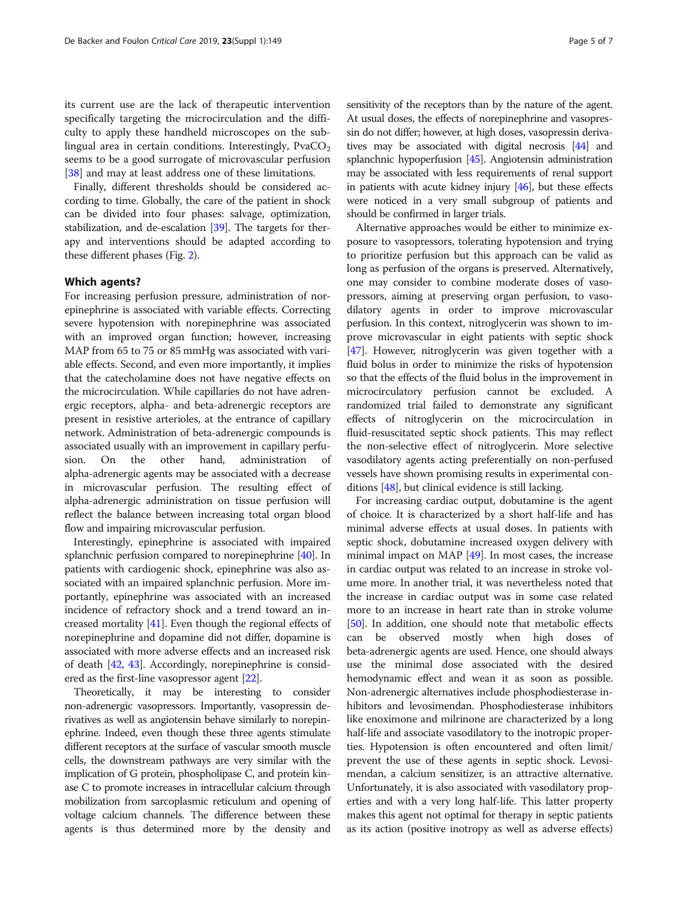its current use are the lack of therapeutic intervention specifically targeting the microcirculation and the difficulty to apply these handheld microscopes on the sublingual area in certain conditions. Interestingly,  $PvaCO<sub>2</sub>$ seems to be a good surrogate of microvascular perfusion [[38\]](#page-6-0) and may at least address one of these limitations.

Finally, different thresholds should be considered according to time. Globally, the care of the patient in shock can be divided into four phases: salvage, optimization, stabilization, and de-escalation [[39](#page-6-0)]. The targets for therapy and interventions should be adapted according to these different phases (Fig. [2](#page-2-0)).

#### Which agents?

For increasing perfusion pressure, administration of norepinephrine is associated with variable effects. Correcting severe hypotension with norepinephrine was associated with an improved organ function; however, increasing MAP from 65 to 75 or 85 mmHg was associated with variable effects. Second, and even more importantly, it implies that the catecholamine does not have negative effects on the microcirculation. While capillaries do not have adrenergic receptors, alpha- and beta-adrenergic receptors are present in resistive arterioles, at the entrance of capillary network. Administration of beta-adrenergic compounds is associated usually with an improvement in capillary perfusion. On the other hand, administration of alpha-adrenergic agents may be associated with a decrease in microvascular perfusion. The resulting effect of alpha-adrenergic administration on tissue perfusion will reflect the balance between increasing total organ blood flow and impairing microvascular perfusion.

Interestingly, epinephrine is associated with impaired splanchnic perfusion compared to norepinephrine [\[40\]](#page-6-0). In patients with cardiogenic shock, epinephrine was also associated with an impaired splanchnic perfusion. More importantly, epinephrine was associated with an increased incidence of refractory shock and a trend toward an increased mortality [\[41\]](#page-6-0). Even though the regional effects of norepinephrine and dopamine did not differ, dopamine is associated with more adverse effects and an increased risk of death [\[42,](#page-6-0) [43](#page-6-0)]. Accordingly, norepinephrine is considered as the first-line vasopressor agent [\[22](#page-6-0)].

Theoretically, it may be interesting to consider non-adrenergic vasopressors. Importantly, vasopressin derivatives as well as angiotensin behave similarly to norepinephrine. Indeed, even though these three agents stimulate different receptors at the surface of vascular smooth muscle cells, the downstream pathways are very similar with the implication of G protein, phospholipase C, and protein kinase C to promote increases in intracellular calcium through mobilization from sarcoplasmic reticulum and opening of voltage calcium channels. The difference between these agents is thus determined more by the density and sensitivity of the receptors than by the nature of the agent. At usual doses, the effects of norepinephrine and vasopressin do not differ; however, at high doses, vasopressin derivatives may be associated with digital necrosis [\[44\]](#page-6-0) and splanchnic hypoperfusion [\[45\]](#page-6-0). Angiotensin administration may be associated with less requirements of renal support in patients with acute kidney injury  $[46]$  $[46]$ , but these effects were noticed in a very small subgroup of patients and should be confirmed in larger trials.

Alternative approaches would be either to minimize exposure to vasopressors, tolerating hypotension and trying to prioritize perfusion but this approach can be valid as long as perfusion of the organs is preserved. Alternatively, one may consider to combine moderate doses of vasopressors, aiming at preserving organ perfusion, to vasodilatory agents in order to improve microvascular perfusion. In this context, nitroglycerin was shown to improve microvascular in eight patients with septic shock [[47](#page-6-0)]. However, nitroglycerin was given together with a fluid bolus in order to minimize the risks of hypotension so that the effects of the fluid bolus in the improvement in microcirculatory perfusion cannot be excluded. A randomized trial failed to demonstrate any significant effects of nitroglycerin on the microcirculation in fluid-resuscitated septic shock patients. This may reflect the non-selective effect of nitroglycerin. More selective vasodilatory agents acting preferentially on non-perfused vessels have shown promising results in experimental conditions [[48](#page-6-0)], but clinical evidence is still lacking.

For increasing cardiac output, dobutamine is the agent of choice. It is characterized by a short half-life and has minimal adverse effects at usual doses. In patients with septic shock, dobutamine increased oxygen delivery with minimal impact on MAP [\[49](#page-6-0)]. In most cases, the increase in cardiac output was related to an increase in stroke volume more. In another trial, it was nevertheless noted that the increase in cardiac output was in some case related more to an increase in heart rate than in stroke volume [[50](#page-6-0)]. In addition, one should note that metabolic effects can be observed mostly when high doses of beta-adrenergic agents are used. Hence, one should always use the minimal dose associated with the desired hemodynamic effect and wean it as soon as possible. Non-adrenergic alternatives include phosphodiesterase inhibitors and levosimendan. Phosphodiesterase inhibitors like enoximone and milrinone are characterized by a long half-life and associate vasodilatory to the inotropic properties. Hypotension is often encountered and often limit/ prevent the use of these agents in septic shock. Levosimendan, a calcium sensitizer, is an attractive alternative. Unfortunately, it is also associated with vasodilatory properties and with a very long half-life. This latter property makes this agent not optimal for therapy in septic patients as its action (positive inotropy as well as adverse effects)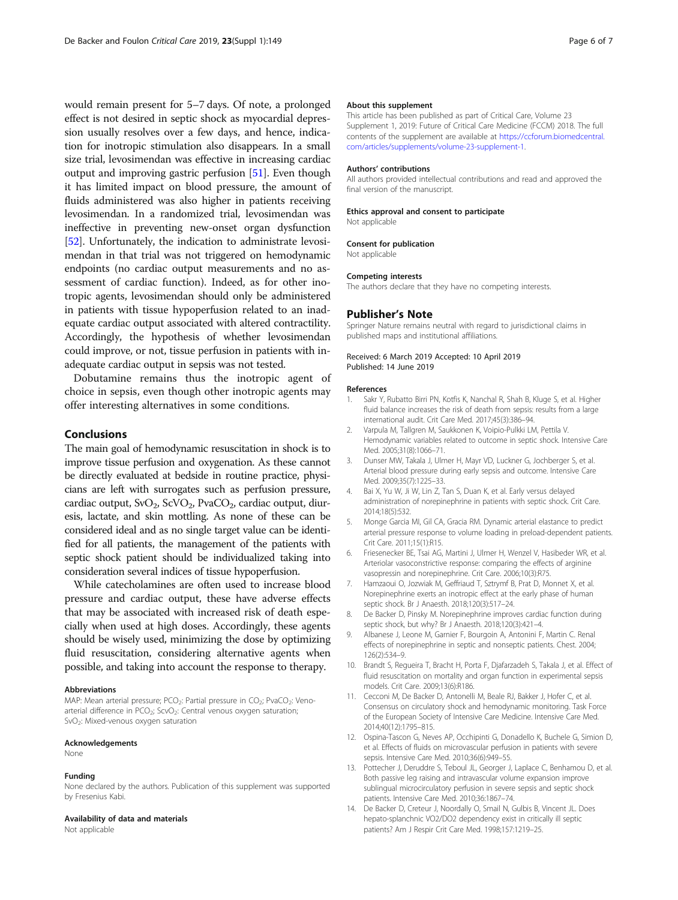<span id="page-5-0"></span>would remain present for 5–7 days. Of note, a prolonged effect is not desired in septic shock as myocardial depression usually resolves over a few days, and hence, indication for inotropic stimulation also disappears. In a small size trial, levosimendan was effective in increasing cardiac output and improving gastric perfusion [[51](#page-6-0)]. Even though it has limited impact on blood pressure, the amount of fluids administered was also higher in patients receiving levosimendan. In a randomized trial, levosimendan was ineffective in preventing new-onset organ dysfunction [[52](#page-6-0)]. Unfortunately, the indication to administrate levosimendan in that trial was not triggered on hemodynamic endpoints (no cardiac output measurements and no assessment of cardiac function). Indeed, as for other inotropic agents, levosimendan should only be administered in patients with tissue hypoperfusion related to an inadequate cardiac output associated with altered contractility. Accordingly, the hypothesis of whether levosimendan could improve, or not, tissue perfusion in patients with inadequate cardiac output in sepsis was not tested.

Dobutamine remains thus the inotropic agent of choice in sepsis, even though other inotropic agents may offer interesting alternatives in some conditions.

## Conclusions

The main goal of hemodynamic resuscitation in shock is to improve tissue perfusion and oxygenation. As these cannot be directly evaluated at bedside in routine practice, physicians are left with surrogates such as perfusion pressure, cardiac output,  $\text{SvO}_2$ ,  $\text{ScVO}_2$ ,  $\text{PvaCO}_2$ , cardiac output, diuresis, lactate, and skin mottling. As none of these can be considered ideal and as no single target value can be identified for all patients, the management of the patients with septic shock patient should be individualized taking into consideration several indices of tissue hypoperfusion.

While catecholamines are often used to increase blood pressure and cardiac output, these have adverse effects that may be associated with increased risk of death especially when used at high doses. Accordingly, these agents should be wisely used, minimizing the dose by optimizing fluid resuscitation, considering alternative agents when possible, and taking into account the response to therapy.

#### Abbreviations

MAP: Mean arterial pressure;  $PCO<sub>2</sub>$ : Partial pressure in  $CO<sub>2</sub>$ ; PvaCO<sub>2</sub>: Venoarterial difference in PCO<sub>2</sub>; ScvO<sub>2</sub>: Central venous oxygen saturation; SvO<sub>2</sub>: Mixed-venous oxygen saturation

#### Acknowledgements

None

#### Funding

None declared by the authors. Publication of this supplement was supported by Fresenius Kabi.

### Availability of data and materials

Not applicable

#### About this supplement

This article has been published as part of Critical Care, Volume 23 Supplement 1, 2019: Future of Critical Care Medicine (FCCM) 2018. The full contents of the supplement are available at [https://ccforum.biomedcentral.](https://ccforum.biomedcentral.com/articles/supplements/volume-23-supplement-1) [com/articles/supplements/volume-23-supplement-1.](https://ccforum.biomedcentral.com/articles/supplements/volume-23-supplement-1)

#### Authors' contributions

All authors provided intellectual contributions and read and approved the final version of the manuscript.

#### Ethics approval and consent to participate Not applicable

Consent for publication Not applicable

Competing interests The authors declare that they have no competing interests.

#### Publisher's Note

Springer Nature remains neutral with regard to jurisdictional claims in published maps and institutional affiliations.

#### Received: 6 March 2019 Accepted: 10 April 2019 Published: 14 June 2019

#### References

- 1. Sakr Y, Rubatto Birri PN, Kotfis K, Nanchal R, Shah B, Kluge S, et al. Higher fluid balance increases the risk of death from sepsis: results from a large international audit. Crit Care Med. 2017;45(3):386–94.
- 2. Varpula M, Tallgren M, Saukkonen K, Voipio-Pulkki LM, Pettila V. Hemodynamic variables related to outcome in septic shock. Intensive Care Med. 2005;31(8):1066–71.
- 3. Dunser MW, Takala J, Ulmer H, Mayr VD, Luckner G, Jochberger S, et al. Arterial blood pressure during early sepsis and outcome. Intensive Care Med. 2009;35(7):1225–33.
- 4. Bai X, Yu W, Ji W, Lin Z, Tan S, Duan K, et al. Early versus delayed administration of norepinephrine in patients with septic shock. Crit Care. 2014;18(5):532.
- 5. Monge Garcia MI, Gil CA, Gracia RM. Dynamic arterial elastance to predict arterial pressure response to volume loading in preload-dependent patients. Crit Care. 2011;15(1):R15.
- 6. Friesenecker BE, Tsai AG, Martini J, Ulmer H, Wenzel V, Hasibeder WR, et al. Arteriolar vasoconstrictive response: comparing the effects of arginine vasopressin and norepinephrine. Crit Care. 2006;10(3):R75.
- 7. Hamzaoui O, Jozwiak M, Geffriaud T, Sztrymf B, Prat D, Monnet X, et al. Norepinephrine exerts an inotropic effect at the early phase of human septic shock. Br J Anaesth. 2018;120(3):517–24.
- 8. De Backer D, Pinsky M. Norepinephrine improves cardiac function during septic shock, but why? Br J Anaesth. 2018;120(3):421–4.
- 9. Albanese J, Leone M, Garnier F, Bourgoin A, Antonini F, Martin C. Renal effects of norepinephrine in septic and nonseptic patients. Chest. 2004; 126(2):534–9.
- 10. Brandt S, Regueira T, Bracht H, Porta F, Djafarzadeh S, Takala J, et al. Effect of fluid resuscitation on mortality and organ function in experimental sepsis models. Crit Care. 2009;13(6):R186.
- 11. Cecconi M, De Backer D, Antonelli M, Beale RJ, Bakker J, Hofer C, et al. Consensus on circulatory shock and hemodynamic monitoring. Task Force of the European Society of Intensive Care Medicine. Intensive Care Med. 2014;40(12):1795–815.
- 12. Ospina-Tascon G, Neves AP, Occhipinti G, Donadello K, Buchele G, Simion D, et al. Effects of fluids on microvascular perfusion in patients with severe sepsis. Intensive Care Med. 2010;36(6):949–55.
- 13. Pottecher J, Deruddre S, Teboul JL, Georger J, Laplace C, Benhamou D, et al. Both passive leg raising and intravascular volume expansion improve sublingual microcirculatory perfusion in severe sepsis and septic shock patients. Intensive Care Med. 2010;36:1867–74.
- 14. De Backer D, Creteur J, Noordally O, Smail N, Gulbis B, Vincent JL. Does hepato-splanchnic VO2/DO2 dependency exist in critically ill septic patients? Am J Respir Crit Care Med. 1998;157:1219–25.